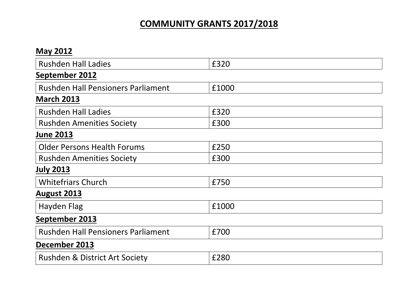# **COMMUNITY GRANTS 2017/2018**

| <b>May 2012</b>                           |       |  |
|-------------------------------------------|-------|--|
| <b>Rushden Hall Ladies</b>                | £320  |  |
| September 2012                            |       |  |
| <b>Rushden Hall Pensioners Parliament</b> | £1000 |  |
| <b>March 2013</b>                         |       |  |
| <b>Rushden Hall Ladies</b>                | £320  |  |
| <b>Rushden Amenities Society</b>          | £300  |  |
| <b>June 2013</b>                          |       |  |
| <b>Older Persons Health Forums</b>        | £250  |  |
| <b>Rushden Amenities Society</b>          | £300  |  |
| <b>July 2013</b>                          |       |  |
| <b>Whitefriars Church</b>                 | £750  |  |
| <b>August 2013</b>                        |       |  |
| Hayden Flag                               | £1000 |  |
| September 2013                            |       |  |
| <b>Rushden Hall Pensioners Parliament</b> | £700  |  |
| December 2013                             |       |  |
| <b>Rushden &amp; District Art Society</b> | £280  |  |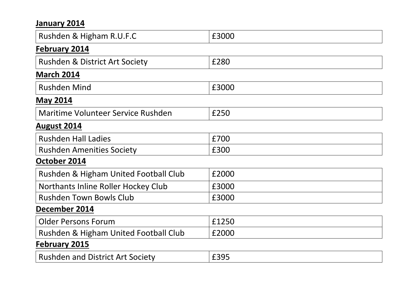#### **January 2014**

| Rushden & Higham R.U.F.C                  | £3000 |  |
|-------------------------------------------|-------|--|
| <b>February 2014</b>                      |       |  |
| <b>Rushden &amp; District Art Society</b> | £280  |  |
| <b>March 2014</b>                         |       |  |
| <b>Rushden Mind</b>                       | £3000 |  |
| <b>May 2014</b>                           |       |  |
| Maritime Volunteer Service Rushden        | £250  |  |
| August 2014                               |       |  |
| <b>Rushden Hall Ladies</b>                | £700  |  |
| <b>Rushden Amenities Society</b>          | £300  |  |
| October 2014                              |       |  |
| Rushden & Higham United Football Club     | £2000 |  |
| Northants Inline Roller Hockey Club       | £3000 |  |
| <b>Rushden Town Bowls Club</b>            | £3000 |  |
| December 2014                             |       |  |
| <b>Older Persons Forum</b>                | £1250 |  |
| Rushden & Higham United Football Club     | £2000 |  |
| <b>February 2015</b>                      |       |  |
| <b>Rushden and District Art Society</b>   | £395  |  |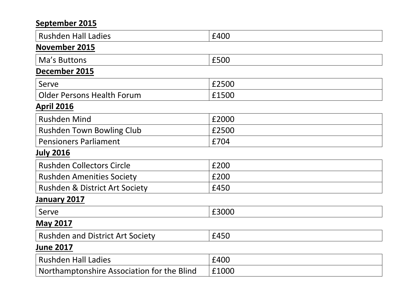### **September 2015**

| <b>Rushden Hall Ladies</b>                 | £400  |  |
|--------------------------------------------|-------|--|
| November 2015                              |       |  |
| Ma's Buttons                               | £500  |  |
| December 2015                              |       |  |
| Serve                                      | £2500 |  |
| <b>Older Persons Health Forum</b>          | £1500 |  |
| <b>April 2016</b>                          |       |  |
| <b>Rushden Mind</b>                        | £2000 |  |
| <b>Rushden Town Bowling Club</b>           | £2500 |  |
| <b>Pensioners Parliament</b>               | £704  |  |
| <b>July 2016</b>                           |       |  |
| <b>Rushden Collectors Circle</b>           | £200  |  |
| <b>Rushden Amenities Society</b>           | £200  |  |
| <b>Rushden &amp; District Art Society</b>  | £450  |  |
| January 2017                               |       |  |
| Serve                                      | £3000 |  |
| <b>May 2017</b>                            |       |  |
| <b>Rushden and District Art Society</b>    | £450  |  |
| <b>June 2017</b>                           |       |  |
| <b>Rushden Hall Ladies</b>                 | £400  |  |
| Northamptonshire Association for the Blind | £1000 |  |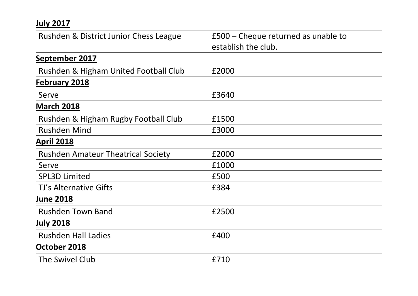### **July 2017**

| Rushden & District Junior Chess League    | £500 – Cheque returned as unable to |
|-------------------------------------------|-------------------------------------|
|                                           | establish the club.                 |
| September 2017                            |                                     |
| Rushden & Higham United Football Club     | £2000                               |
| <b>February 2018</b>                      |                                     |
| Serve                                     | £3640                               |
| <b>March 2018</b>                         |                                     |
| Rushden & Higham Rugby Football Club      | £1500                               |
| <b>Rushden Mind</b>                       | £3000                               |
| <b>April 2018</b>                         |                                     |
| <b>Rushden Amateur Theatrical Society</b> | £2000                               |
| Serve                                     | £1000                               |
| <b>SPL3D Limited</b>                      | £500                                |
| TJ's Alternative Gifts                    | £384                                |
| <b>June 2018</b>                          |                                     |
| <b>Rushden Town Band</b>                  | £2500                               |
| <b>July 2018</b>                          |                                     |
| <b>Rushden Hall Ladies</b>                | £400                                |
| October 2018                              |                                     |
| The Swivel Club                           | £710                                |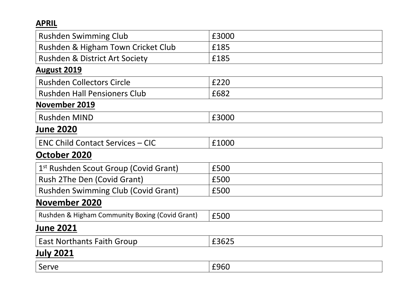#### **APRIL**

| <b>Rushden Swimming Club</b>                      | £3000 |  |
|---------------------------------------------------|-------|--|
| Rushden & Higham Town Cricket Club                | £185  |  |
| <b>Rushden &amp; District Art Society</b>         | £185  |  |
| <b>August 2019</b>                                |       |  |
| <b>Rushden Collectors Circle</b>                  | £220  |  |
| <b>Rushden Hall Pensioners Club</b>               | £682  |  |
| <b>November 2019</b>                              |       |  |
| <b>Rushden MIND</b>                               | £3000 |  |
| <b>June 2020</b>                                  |       |  |
| <b>ENC Child Contact Services - CIC</b>           | £1000 |  |
| October 2020                                      |       |  |
| 1 <sup>st</sup> Rushden Scout Group (Covid Grant) | £500  |  |
| Rush 2The Den (Covid Grant)                       | £500  |  |
| Rushden Swimming Club (Covid Grant)               | £500  |  |
| <b>November 2020</b>                              |       |  |
| Rushden & Higham Community Boxing (Covid Grant)   | £500  |  |
| <b>June 2021</b>                                  |       |  |
| <b>East Northants Faith Group</b>                 | £3625 |  |
| July 2021                                         |       |  |
| Serve                                             | £960  |  |